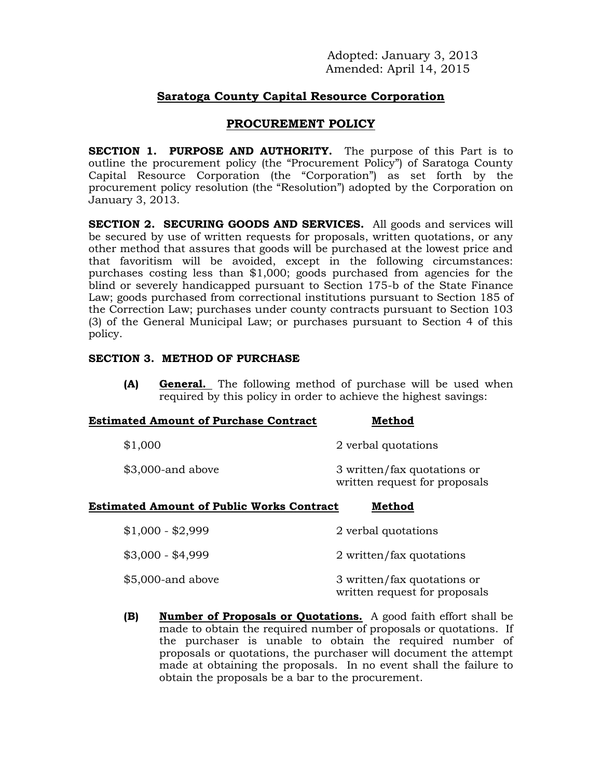Adopted: January 3, 2013 Amended: April 14, 2015

# **Saratoga County Capital Resource Corporation**

## **PROCUREMENT POLICY**

**SECTION 1. PURPOSE AND AUTHORITY.** The purpose of this Part is to outline the procurement policy (the "Procurement Policy") of Saratoga County Capital Resource Corporation (the "Corporation") as set forth by the procurement policy resolution (the "Resolution") adopted by the Corporation on January 3, 2013.

**SECTION 2. SECURING GOODS AND SERVICES.** All goods and services will be secured by use of written requests for proposals, written quotations, or any other method that assures that goods will be purchased at the lowest price and that favoritism will be avoided, except in the following circumstances: purchases costing less than \$1,000; goods purchased from agencies for the blind or severely handicapped pursuant to Section 175-b of the State Finance Law; goods purchased from correctional institutions pursuant to Section 185 of the Correction Law; purchases under county contracts pursuant to Section 103 (3) of the General Municipal Law; or purchases pursuant to Section 4 of this policy.

#### **SECTION 3. METHOD OF PURCHASE**

**(A) General.** The following method of purchase will be used when required by this policy in order to achieve the highest savings:

| <b>Estimated Amount of Purchase Contract</b> | Method                                                       |
|----------------------------------------------|--------------------------------------------------------------|
| \$1,000                                      | 2 verbal quotations                                          |
| $$3,000$ -and above                          | 3 written/fax quotations or<br>written request for proposals |

#### **Estimated Amount of Public Works Contract Method**

| $$1,000 - $2,999$   | 2 verbal quotations                                          |
|---------------------|--------------------------------------------------------------|
| $$3,000 - $4,999$   | 2 written/fax quotations                                     |
| $$5,000$ -and above | 3 written/fax quotations or<br>written request for proposals |

**(B) Number of Proposals or Quotations.** A good faith effort shall be made to obtain the required number of proposals or quotations. If the purchaser is unable to obtain the required number of proposals or quotations, the purchaser will document the attempt made at obtaining the proposals. In no event shall the failure to obtain the proposals be a bar to the procurement.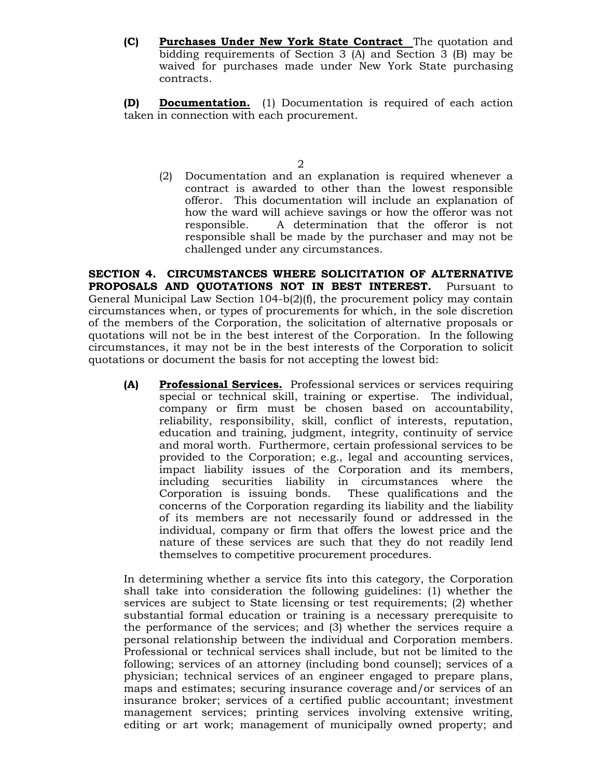**(C) Purchases Under New York State Contract** The quotation and bidding requirements of Section 3 (A) and Section 3 (B) may be waived for purchases made under New York State purchasing contracts.

**(D) Documentation.** (1) Documentation is required of each action taken in connection with each procurement.

(2) Documentation and an explanation is required whenever a contract is awarded to other than the lowest responsible offeror. This documentation will include an explanation of how the ward will achieve savings or how the offeror was not responsible. A determination that the offeror is not responsible shall be made by the purchaser and may not be challenged under any circumstances.

**SECTION 4. CIRCUMSTANCES WHERE SOLICITATION OF ALTERNATIVE PROPOSALS AND QUOTATIONS NOT IN BEST INTEREST.** Pursuant to General Municipal Law Section 104-b(2)(f), the procurement policy may contain circumstances when, or types of procurements for which, in the sole discretion of the members of the Corporation, the solicitation of alternative proposals or quotations will not be in the best interest of the Corporation. In the following circumstances, it may not be in the best interests of the Corporation to solicit quotations or document the basis for not accepting the lowest bid:

**(A) Professional Services.** Professional services or services requiring special or technical skill, training or expertise. The individual, company or firm must be chosen based on accountability, reliability, responsibility, skill, conflict of interests, reputation, education and training, judgment, integrity, continuity of service and moral worth. Furthermore, certain professional services to be provided to the Corporation; e.g., legal and accounting services, impact liability issues of the Corporation and its members, including securities liability in circumstances where the Corporation is issuing bonds. These qualifications and the concerns of the Corporation regarding its liability and the liability of its members are not necessarily found or addressed in the individual, company or firm that offers the lowest price and the nature of these services are such that they do not readily lend themselves to competitive procurement procedures.

In determining whether a service fits into this category, the Corporation shall take into consideration the following guidelines: (1) whether the services are subject to State licensing or test requirements; (2) whether substantial formal education or training is a necessary prerequisite to the performance of the services; and (3) whether the services require a personal relationship between the individual and Corporation members. Professional or technical services shall include, but not be limited to the following; services of an attorney (including bond counsel); services of a physician; technical services of an engineer engaged to prepare plans, maps and estimates; securing insurance coverage and/or services of an insurance broker; services of a certified public accountant; investment management services; printing services involving extensive writing, editing or art work; management of municipally owned property; and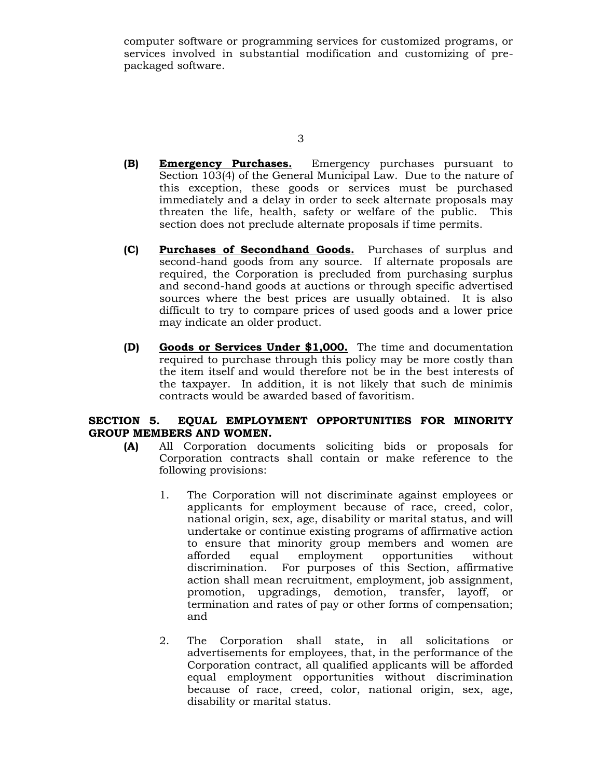computer software or programming services for customized programs, or services involved in substantial modification and customizing of prepackaged software.

3

- **(B) Emergency Purchases.** Emergency purchases pursuant to Section 103(4) of the General Municipal Law. Due to the nature of this exception, these goods or services must be purchased immediately and a delay in order to seek alternate proposals may threaten the life, health, safety or welfare of the public. This section does not preclude alternate proposals if time permits.
- **(C) Purchases of Secondhand Goods.** Purchases of surplus and second-hand goods from any source. If alternate proposals are required, the Corporation is precluded from purchasing surplus and second-hand goods at auctions or through specific advertised sources where the best prices are usually obtained. It is also difficult to try to compare prices of used goods and a lower price may indicate an older product.
- **(D) Goods or Services Under \$1,000.** The time and documentation required to purchase through this policy may be more costly than the item itself and would therefore not be in the best interests of the taxpayer. In addition, it is not likely that such de minimis contracts would be awarded based of favoritism.

### **SECTION 5. EQUAL EMPLOYMENT OPPORTUNITIES FOR MINORITY GROUP MEMBERS AND WOMEN.**

- **(A)** All Corporation documents soliciting bids or proposals for Corporation contracts shall contain or make reference to the following provisions:
	- 1. The Corporation will not discriminate against employees or applicants for employment because of race, creed, color, national origin, sex, age, disability or marital status, and will undertake or continue existing programs of affirmative action to ensure that minority group members and women are afforded equal employment opportunities without discrimination. For purposes of this Section, affirmative action shall mean recruitment, employment, job assignment, promotion, upgradings, demotion, transfer, layoff, or termination and rates of pay or other forms of compensation; and
	- 2. The Corporation shall state, in all solicitations or advertisements for employees, that, in the performance of the Corporation contract, all qualified applicants will be afforded equal employment opportunities without discrimination because of race, creed, color, national origin, sex, age, disability or marital status.